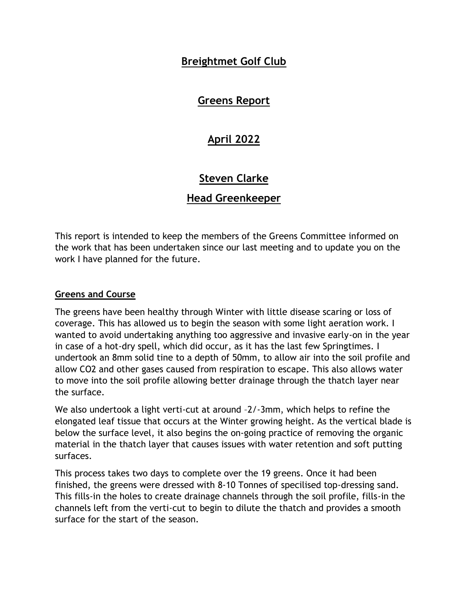# **Breightmet Golf Club**

# **Greens Report**

# **April 2022**

# **Steven Clarke**

## **Head Greenkeeper**

This report is intended to keep the members of the Greens Committee informed on the work that has been undertaken since our last meeting and to update you on the work I have planned for the future.

#### **Greens and Course**

The greens have been healthy through Winter with little disease scaring or loss of coverage. This has allowed us to begin the season with some light aeration work. I wanted to avoid undertaking anything too aggressive and invasive early-on in the year in case of a hot-dry spell, which did occur, as it has the last few Springtimes. I undertook an 8mm solid tine to a depth of 50mm, to allow air into the soil profile and allow CO2 and other gases caused from respiration to escape. This also allows water to move into the soil profile allowing better drainage through the thatch layer near the surface.

We also undertook a light verti-cut at around -2/-3mm, which helps to refine the elongated leaf tissue that occurs at the Winter growing height. As the vertical blade is below the surface level, it also begins the on-going practice of removing the organic material in the thatch layer that causes issues with water retention and soft putting surfaces.

This process takes two days to complete over the 19 greens. Once it had been finished, the greens were dressed with 8-10 Tonnes of specilised top-dressing sand. This fills-in the holes to create drainage channels through the soil profile, fills-in the channels left from the verti-cut to begin to dilute the thatch and provides a smooth surface for the start of the season.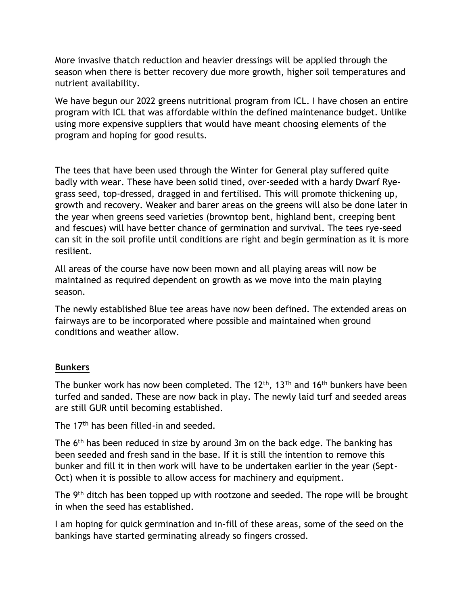More invasive thatch reduction and heavier dressings will be applied through the season when there is better recovery due more growth, higher soil temperatures and nutrient availability.

We have begun our 2022 greens nutritional program from ICL. I have chosen an entire program with ICL that was affordable within the defined maintenance budget. Unlike using more expensive suppliers that would have meant choosing elements of the program and hoping for good results.

The tees that have been used through the Winter for General play suffered quite badly with wear. These have been solid tined, over-seeded with a hardy Dwarf Ryegrass seed, top-dressed, dragged in and fertilised. This will promote thickening up, growth and recovery. Weaker and barer areas on the greens will also be done later in the year when greens seed varieties (browntop bent, highland bent, creeping bent and fescues) will have better chance of germination and survival. The tees rye-seed can sit in the soil profile until conditions are right and begin germination as it is more resilient.

All areas of the course have now been mown and all playing areas will now be maintained as required dependent on growth as we move into the main playing season.

The newly established Blue tee areas have now been defined. The extended areas on fairways are to be incorporated where possible and maintained when ground conditions and weather allow.

### **Bunkers**

The bunker work has now been completed. The 12<sup>th</sup>, 13<sup>Th</sup> and 16<sup>th</sup> bunkers have been turfed and sanded. These are now back in play. The newly laid turf and seeded areas are still GUR until becoming established.

The 17<sup>th</sup> has been filled-in and seeded.

The 6th has been reduced in size by around 3m on the back edge. The banking has been seeded and fresh sand in the base. If it is still the intention to remove this bunker and fill it in then work will have to be undertaken earlier in the year (Sept-Oct) when it is possible to allow access for machinery and equipment.

The 9<sup>th</sup> ditch has been topped up with rootzone and seeded. The rope will be brought in when the seed has established.

I am hoping for quick germination and in-fill of these areas, some of the seed on the bankings have started germinating already so fingers crossed.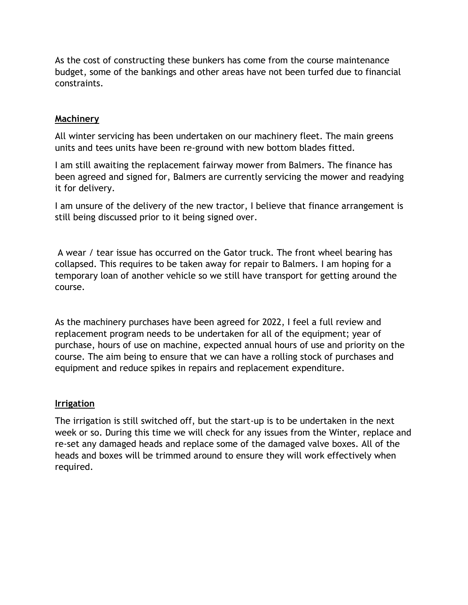As the cost of constructing these bunkers has come from the course maintenance budget, some of the bankings and other areas have not been turfed due to financial constraints.

#### **Machinery**

All winter servicing has been undertaken on our machinery fleet. The main greens units and tees units have been re-ground with new bottom blades fitted.

I am still awaiting the replacement fairway mower from Balmers. The finance has been agreed and signed for, Balmers are currently servicing the mower and readying it for delivery.

I am unsure of the delivery of the new tractor, I believe that finance arrangement is still being discussed prior to it being signed over.

A wear / tear issue has occurred on the Gator truck. The front wheel bearing has collapsed. This requires to be taken away for repair to Balmers. I am hoping for a temporary loan of another vehicle so we still have transport for getting around the course.

As the machinery purchases have been agreed for 2022, I feel a full review and replacement program needs to be undertaken for all of the equipment; year of purchase, hours of use on machine, expected annual hours of use and priority on the course. The aim being to ensure that we can have a rolling stock of purchases and equipment and reduce spikes in repairs and replacement expenditure.

#### **Irrigation**

The irrigation is still switched off, but the start-up is to be undertaken in the next week or so. During this time we will check for any issues from the Winter, replace and re-set any damaged heads and replace some of the damaged valve boxes. All of the heads and boxes will be trimmed around to ensure they will work effectively when required.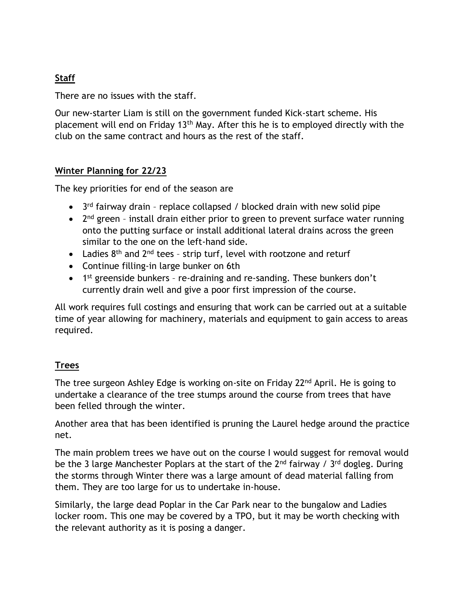# **Staff**

There are no issues with the staff.

Our new-starter Liam is still on the government funded Kick-start scheme. His placement will end on Friday 13th May. After this he is to employed directly with the club on the same contract and hours as the rest of the staff.

### **Winter Planning for 22/23**

The key priorities for end of the season are

- $\bullet$  3<sup>rd</sup> fairway drain replace collapsed / blocked drain with new solid pipe
- $\bullet$  2<sup>nd</sup> green install drain either prior to green to prevent surface water running onto the putting surface or install additional lateral drains across the green similar to the one on the left-hand side.
- Ladies  $8<sup>th</sup>$  and  $2<sup>nd</sup>$  tees strip turf, level with rootzone and returf
- Continue filling-in large bunker on 6th
- 1<sup>st</sup> greenside bunkers re-draining and re-sanding. These bunkers don't currently drain well and give a poor first impression of the course.

All work requires full costings and ensuring that work can be carried out at a suitable time of year allowing for machinery, materials and equipment to gain access to areas required.

## **Trees**

The tree surgeon Ashley Edge is working on-site on Friday 22nd April. He is going to undertake a clearance of the tree stumps around the course from trees that have been felled through the winter.

Another area that has been identified is pruning the Laurel hedge around the practice net.

The main problem trees we have out on the course I would suggest for removal would be the 3 large Manchester Poplars at the start of the  $2^{nd}$  fairway /  $3^{rd}$  dogleg. During the storms through Winter there was a large amount of dead material falling from them. They are too large for us to undertake in-house.

Similarly, the large dead Poplar in the Car Park near to the bungalow and Ladies locker room. This one may be covered by a TPO, but it may be worth checking with the relevant authority as it is posing a danger.